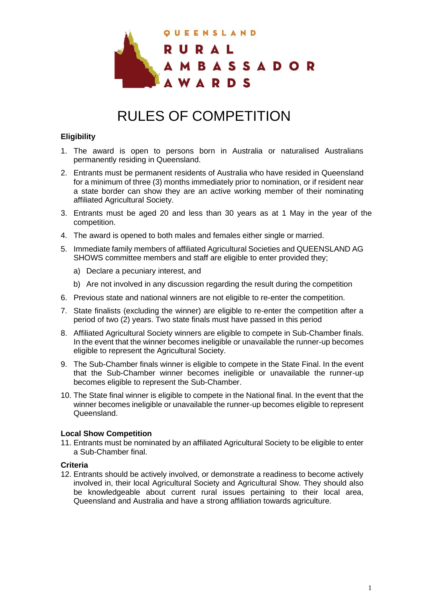

# RULES OF COMPETITION

## **Eligibility**

- 1. The award is open to persons born in Australia or naturalised Australians permanently residing in Queensland.
- 2. Entrants must be permanent residents of Australia who have resided in Queensland for a minimum of three (3) months immediately prior to nomination, or if resident near a state border can show they are an active working member of their nominating affiliated Agricultural Society.
- 3. Entrants must be aged 20 and less than 30 years as at 1 May in the year of the competition.
- 4. The award is opened to both males and females either single or married.
- 5. Immediate family members of affiliated Agricultural Societies and QUEENSLAND AG SHOWS committee members and staff are eligible to enter provided they;
	- a) Declare a pecuniary interest, and
	- b) Are not involved in any discussion regarding the result during the competition
- 6. Previous state and national winners are not eligible to re-enter the competition.
- 7. State finalists (excluding the winner) are eligible to re-enter the competition after a period of two (2) years. Two state finals must have passed in this period
- 8. Affiliated Agricultural Society winners are eligible to compete in Sub-Chamber finals. In the event that the winner becomes ineligible or unavailable the runner-up becomes eligible to represent the Agricultural Society.
- 9. The Sub-Chamber finals winner is eligible to compete in the State Final. In the event that the Sub-Chamber winner becomes ineligible or unavailable the runner-up becomes eligible to represent the Sub-Chamber.
- 10. The State final winner is eligible to compete in the National final. In the event that the winner becomes ineligible or unavailable the runner-up becomes eligible to represent Queensland.

## **Local Show Competition**

11. Entrants must be nominated by an affiliated Agricultural Society to be eligible to enter a Sub-Chamber final.

## **Criteria**

12. Entrants should be actively involved, or demonstrate a readiness to become actively involved in, their local Agricultural Society and Agricultural Show. They should also be knowledgeable about current rural issues pertaining to their local area, Queensland and Australia and have a strong affiliation towards agriculture.